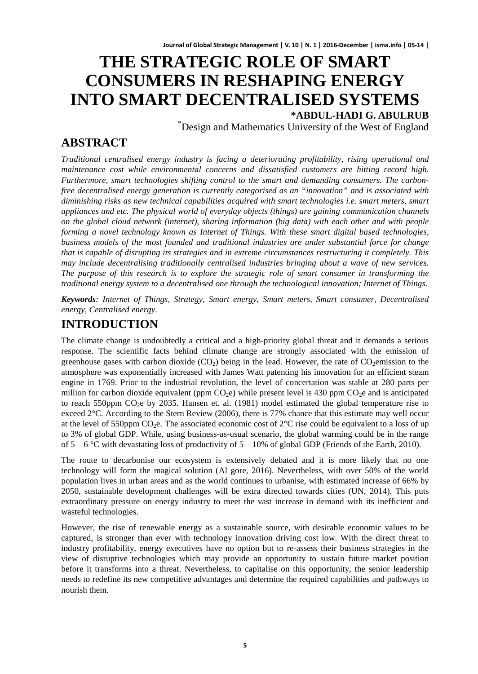# **THE STRATEGIC ROLE OF SMART CONSUMERS IN RESHAPING ENERGY INTO SMART DECENTRALISED SYSTEMS**

**\*ABDUL-HADI G. ABULRUB** \* Design and Mathematics University of the West of England

### **ABSTRACT**

*Traditional centralised energy industry is facing a deteriorating profitability, rising operational and maintenance cost while environmental concerns and dissatisfied customers are hitting record high. Furthermore, smart technologies shifting control to the smart and demanding consumers. The carbonfree decentralised energy generation is currently categorised as an "innovation" and is associated with diminishing risks as new technical capabilities acquired with smart technologies i.e. smart meters, smart appliances and etc. The physical world of everyday objects (things) are gaining communication channels on the global cloud network (internet), sharing information (big data) with each other and with people forming a novel technology known as Internet of Things. With these smart digital based technologies, business models of the most founded and traditional industries are under substantial force for change that is capable of disrupting its strategies and in extreme circumstances restructuring it completely. This may include decentralising traditionally centralised industries bringing about a wave of new services. The purpose of this research is to explore the strategic role of smart consumer in transforming the traditional energy system to a decentralised one through the technological innovation; Internet of Things.*

*Keywords: Internet of Things, Strategy, Smart energy, Smart meters, Smart consumer, Decentralised energy, Centralised energy.*

#### **INTRODUCTION**

The climate change is undoubtedly a critical and a high-priority global threat and it demands a serious response. The scientific facts behind climate change are strongly associated with the emission of greenhouse gases with carbon dioxide  $(CO<sub>2</sub>)$  being in the lead. However, the rate of  $CO<sub>2</sub>$ emission to the atmosphere was exponentially increased with James Watt patenting his innovation for an efficient steam engine in 1769. Prior to the industrial revolution, the level of concertation was stable at 280 parts per million for carbon dioxide equivalent (ppm  $CO<sub>2</sub>e$ ) while present level is 430 ppm  $CO<sub>2</sub>e$  and is anticipated to reach 550ppm  $CO<sub>2</sub>e$  by 2035. Hansen et. al. (1981) model estimated the global temperature rise to exceed 2°C. According to the Stern Review (2006), there is 77% chance that this estimate may well occur at the level of 550ppm  $CO_2e$ . The associated economic cost of  $2^{\circ}$ C rise could be equivalent to a loss of up to 3% of global GDP. While, using business-as-usual scenario, the global warming could be in the range of  $5 - 6$  °C with devastating loss of productivity of  $5 - 10\%$  of global GDP (Friends of the Earth, 2010).

The route to decarbonise our ecosystem is extensively debated and it is more likely that no one technology will form the magical solution (Al gore, 2016). Nevertheless, with over 50% of the world population lives in urban areas and as the world continues to urbanise, with estimated increase of 66% by 2050, sustainable development challenges will be extra directed towards cities (UN, 2014). This puts extraordinary pressure on energy industry to meet the vast increase in demand with its inefficient and wasteful technologies.

However, the rise of renewable energy as a sustainable source, with desirable economic values to be captured, is stronger than ever with technology innovation driving cost low. With the direct threat to industry profitability, energy executives have no option but to re-assess their business strategies in the view of disruptive technologies which may provide an opportunity to sustain future market position before it transforms into a threat. Nevertheless, to capitalise on this opportunity, the senior leadership needs to redefine its new competitive advantages and determine the required capabilities and pathways to nourish them.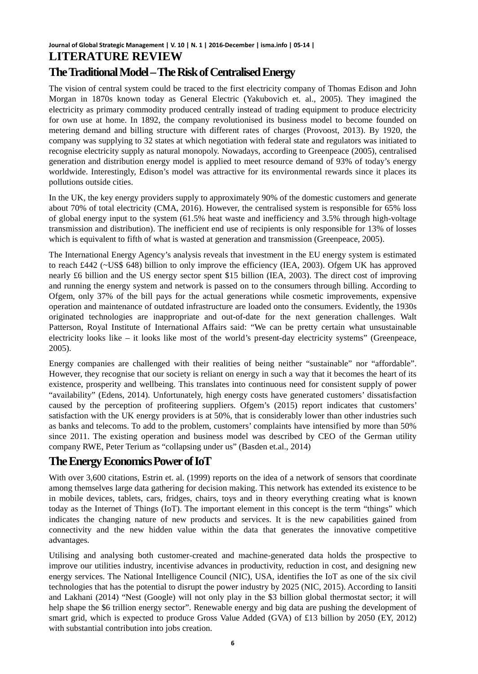#### **Journal of Global Strategic Management | V. 10 | N. 1 | 2016-December | isma.info | 05-14 | LITERATURE REVIEW The Traditional Model –The Risk of Centralised Energy**

The vision of central system could be traced to the first electricity company of Thomas Edison and John Morgan in 1870s known today as General Electric (Yakubovich et. al., 2005). They imagined the electricity as primary commodity produced centrally instead of trading equipment to produce electricity for own use at home. In 1892, the company revolutionised its business model to become founded on metering demand and billing structure with different rates of charges (Provoost, 2013). By 1920, the company was supplying to 32 states at which negotiation with federal state and regulators was initiated to recognise electricity supply as natural monopoly. Nowadays, according to Greenpeace (2005), centralised generation and distribution energy model is applied to meet resource demand of 93% of today's energy worldwide. Interestingly, Edison's model was attractive for its environmental rewards since it places its pollutions outside cities.

In the UK, the key energy providers supply to approximately 90% of the domestic customers and generate about 70% of total electricity (CMA, 2016). However, the centralised system is responsible for 65% loss of global energy input to the system (61.5% heat waste and inefficiency and 3.5% through high-voltage transmission and distribution). The inefficient end use of recipients is only responsible for 13% of losses which is equivalent to fifth of what is wasted at generation and transmission (Greenpeace, 2005).

The International Energy Agency's analysis reveals that investment in the EU energy system is estimated to reach £442 (~US\$ 648) billion to only improve the efficiency (IEA, 2003). Ofgem UK has approved nearly £6 billion and the US energy sector spent \$15 billion (IEA, 2003). The direct cost of improving and running the energy system and network is passed on to the consumers through billing. According to Ofgem, only 37% of the bill pays for the actual generations while cosmetic improvements, expensive operation and maintenance of outdated infrastructure are loaded onto the consumers. Evidently, the 1930s originated technologies are inappropriate and out-of-date for the next generation challenges. Walt Patterson, Royal Institute of International Affairs said: "We can be pretty certain what unsustainable electricity looks like – it looks like most of the world's present-day electricity systems" (Greenpeace, 2005).

Energy companies are challenged with their realities of being neither "sustainable" nor "affordable". However, they recognise that our society is reliant on energy in such a way that it becomes the heart of its existence, prosperity and wellbeing. This translates into continuous need for consistent supply of power "availability" (Edens, 2014). Unfortunately, high energy costs have generated customers' dissatisfaction caused by the perception of profiteering suppliers. Ofgem's (2015) report indicates that customers' satisfaction with the UK energy providers is at 50%, that is considerably lower than other industries such as banks and telecoms. To add to the problem, customers' complaints have intensified by more than 50% since 2011. The existing operation and business model was described by CEO of the German utility company RWE, Peter Terium as "collapsing under us" (Basden et.al., 2014)

#### **The Energy Economics Power of IoT**

With over 3,600 citations, Estrin et. al. (1999) reports on the idea of a network of sensors that coordinate among themselves large data gathering for decision making. This network has extended its existence to be in mobile devices, tablets, cars, fridges, chairs, toys and in theory everything creating what is known today as the Internet of Things (IoT). The important element in this concept is the term "things" which indicates the changing nature of new products and services. It is the new capabilities gained from connectivity and the new hidden value within the data that generates the innovative competitive advantages.

Utilising and analysing both customer-created and machine-generated data holds the prospective to improve our utilities industry, incentivise advances in productivity, reduction in cost, and designing new energy services. The National Intelligence Council (NIC), USA, identifies the IoT as one of the six civil technologies that has the potential to disrupt the power industry by 2025 (NIC, 2015). According to Iansiti and Lakhani (2014) "Nest (Google) will not only play in the \$3 billion global thermostat sector; it will help shape the \$6 trillion energy sector". Renewable energy and big data are pushing the development of smart grid, which is expected to produce Gross Value Added (GVA) of £13 billion by 2050 (EY, 2012) with substantial contribution into jobs creation.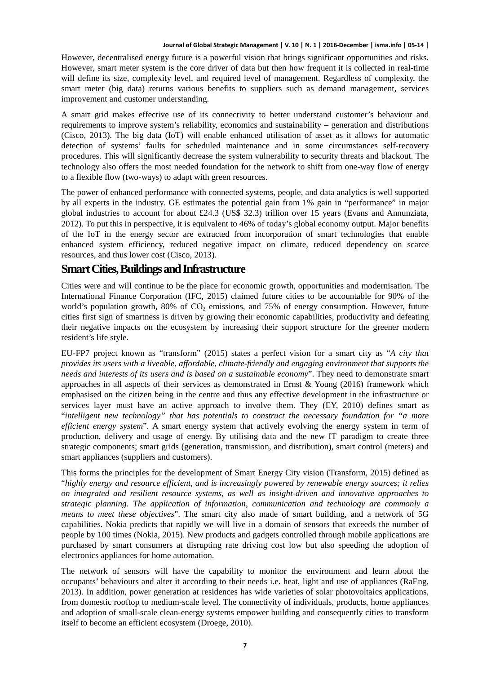However, decentralised energy future is a powerful vision that brings significant opportunities and risks. However, smart meter system is the core driver of data but then how frequent it is collected in real-time will define its size, complexity level, and required level of management. Regardless of complexity, the smart meter (big data) returns various benefits to suppliers such as demand management, services improvement and customer understanding.

A smart grid makes effective use of its connectivity to better understand customer's behaviour and requirements to improve system's reliability, economics and sustainability – generation and distributions (Cisco, 2013). The big data (IoT) will enable enhanced utilisation of asset as it allows for automatic detection of systems' faults for scheduled maintenance and in some circumstances self-recovery procedures. This will significantly decrease the system vulnerability to security threats and blackout. The technology also offers the most needed foundation for the network to shift from one-way flow of energy to a flexible flow (two-ways) to adapt with green resources.

The power of enhanced performance with connected systems, people, and data analytics is well supported by all experts in the industry. GE estimates the potential gain from 1% gain in "performance" in major global industries to account for about £24.3 (US\$ 32.3) trillion over 15 years (Evans and Annunziata, 2012). To put this in perspective, it is equivalent to 46% of today's global economy output. Major benefits of the IoT in the energy sector are extracted from incorporation of smart technologies that enable enhanced system efficiency, reduced negative impact on climate, reduced dependency on scarce resources, and thus lower cost (Cisco, 2013).

#### **Smart Cities, Buildings and Infrastructure**

Cities were and will continue to be the place for economic growth, opportunities and modernisation. The International Finance Corporation (IFC, 2015) claimed future cities to be accountable for 90% of the world's population growth,  $80\%$  of  $CO<sub>2</sub>$  emissions, and 75% of energy consumption. However, future cities first sign of smartness is driven by growing their economic capabilities, productivity and defeating their negative impacts on the ecosystem by increasing their support structure for the greener modern resident's life style.

EU-FP7 project known as "transform" (2015) states a perfect vision for a smart city as "*A city that provides its users with a liveable, affordable, climate-friendly and engaging environment that supports the needs and interests of its users and is based on a sustainable economy*". They need to demonstrate smart approaches in all aspects of their services as demonstrated in Ernst & Young (2016) framework which emphasised on the citizen being in the centre and thus any effective development in the infrastructure or services layer must have an active approach to involve them. They (EY, 2010) defines smart as "*intelligent new technology" that has potentials to construct the necessary foundation for "a more efficient energy system*". A smart energy system that actively evolving the energy system in term of production, delivery and usage of energy. By utilising data and the new IT paradigm to create three strategic components; smart grids (generation, transmission, and distribution), smart control (meters) and smart appliances (suppliers and customers).

This forms the principles for the development of Smart Energy City vision (Transform, 2015) defined as "*highly energy and resource efficient, and is increasingly powered by renewable energy sources; it relies on integrated and resilient resource systems, as well as insight-driven and innovative approaches to strategic planning. The application of information, communication and technology are commonly a means to meet these objectives*". The smart city also made of smart building, and a network of 5G capabilities. Nokia predicts that rapidly we will live in a domain of sensors that exceeds the number of people by 100 times (Nokia, 2015). New products and gadgets controlled through mobile applications are purchased by smart consumers at disrupting rate driving cost low but also speeding the adoption of electronics appliances for home automation.

The network of sensors will have the capability to monitor the environment and learn about the occupants' behaviours and alter it according to their needs i.e. heat, light and use of appliances (RaEng, 2013). In addition, power generation at residences has wide varieties of solar photovoltaics applications, from domestic rooftop to medium-scale level. The connectivity of individuals, products, home appliances and adoption of small-scale clean-energy systems empower building and consequently cities to transform itself to become an efficient ecosystem (Droege, 2010).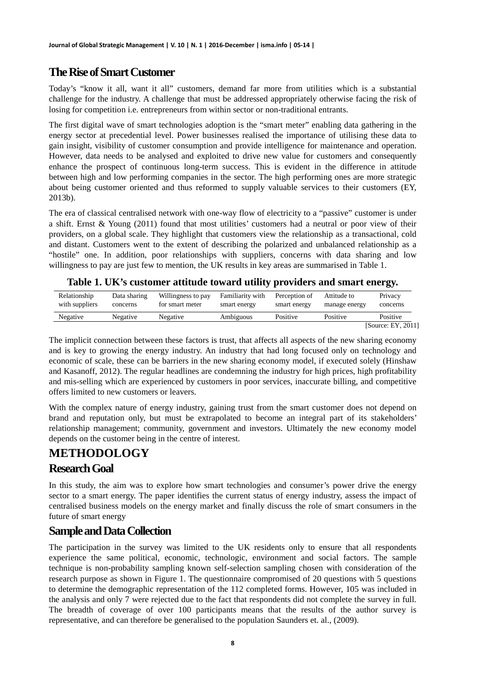### **The Rise of Smart Customer**

Today's "know it all, want it all" customers, demand far more from utilities which is a substantial challenge for the industry. A challenge that must be addressed appropriately otherwise facing the risk of losing for competition i.e. entrepreneurs from within sector or non-traditional entrants.

The first digital wave of smart technologies adoption is the "smart meter" enabling data gathering in the energy sector at precedential level. Power businesses realised the importance of utilising these data to gain insight, visibility of customer consumption and provide intelligence for maintenance and operation. However, data needs to be analysed and exploited to drive new value for customers and consequently enhance the prospect of continuous long-term success. This is evident in the difference in attitude between high and low performing companies in the sector. The high performing ones are more strategic about being customer oriented and thus reformed to supply valuable services to their customers (EY, 2013b).

The era of classical centralised network with one-way flow of electricity to a "passive" customer is under a shift. Ernst & Young (2011) found that most utilities' customers had a neutral or poor view of their providers, on a global scale. They highlight that customers view the relationship as a transactional, cold and distant. Customers went to the extent of describing the polarized and unbalanced relationship as a "hostile" one. In addition, poor relationships with suppliers, concerns with data sharing and low willingness to pay are just few to mention, the UK results in key areas are summarised in Table 1.

| Relationship<br>with suppliers | Data sharing<br>concerns | Willingness to pay<br>for smart meter | Familiarity with<br>smart energy | Perception of<br>smart energy | Attitude to<br>manage energy | Privacy<br>concerns   |
|--------------------------------|--------------------------|---------------------------------------|----------------------------------|-------------------------------|------------------------------|-----------------------|
| Negative                       | Negative                 | Negative                              | Ambiguous                        | Positive                      | Positive                     | Positive              |
|                                |                          |                                       |                                  |                               |                              | [Source: EY, $2011$ ] |

**Table 1. UK's customer attitude toward utility providers and smart energy.**

The implicit connection between these factors is trust, that affects all aspects of the new sharing economy and is key to growing the energy industry. An industry that had long focused only on technology and economic of scale, these can be barriers in the new sharing economy model, if executed solely (Hinshaw and Kasanoff, 2012). The regular headlines are condemning the industry for high prices, high profitability and mis-selling which are experienced by customers in poor services, inaccurate billing, and competitive offers limited to new customers or leavers.

With the complex nature of energy industry, gaining trust from the smart customer does not depend on brand and reputation only, but must be extrapolated to become an integral part of its stakeholders' relationship management; community, government and investors. Ultimately the new economy model depends on the customer being in the centre of interest.

# **METHODOLOGY**

#### **Research Goal**

In this study, the aim was to explore how smart technologies and consumer's power drive the energy sector to a smart energy. The paper identifies the current status of energy industry, assess the impact of centralised business models on the energy market and finally discuss the role of smart consumers in the future of smart energy

#### **Sample and Data Collection**

The participation in the survey was limited to the UK residents only to ensure that all respondents experience the same political, economic, technologic, environment and social factors. The sample technique is non-probability sampling known self-selection sampling chosen with consideration of the research purpose as shown in Figure 1. The questionnaire compromised of 20 questions with 5 questions to determine the demographic representation of the 112 completed forms. However, 105 was included in the analysis and only 7 were rejected due to the fact that respondents did not complete the survey in full. The breadth of coverage of over 100 participants means that the results of the author survey is representative, and can therefore be generalised to the population Saunders et. al., (2009).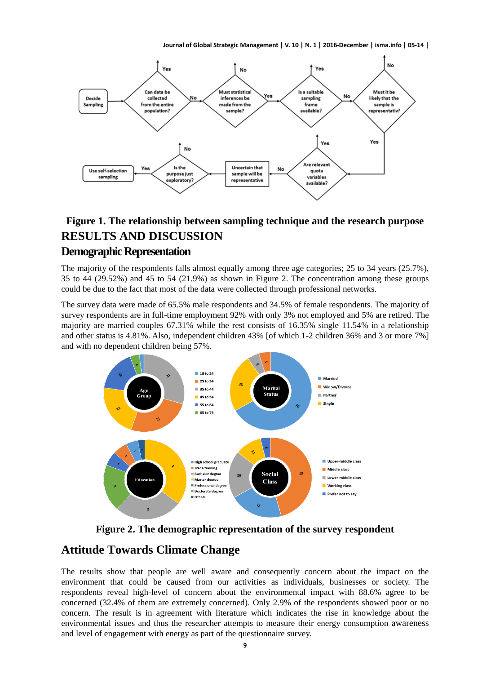

## **Figure 1. The relationship between sampling technique and the research purpose RESULTS AND DISCUSSION Demographic Representation**

The majority of the respondents falls almost equally among three age categories; 25 to 34 years (25.7%), 35 to 44 (29.52%) and 45 to 54 (21.9%) as shown in Figure 2. The concentration among these groups could be due to the fact that most of the data were collected through professional networks.

The survey data were made of 65.5% male respondents and 34.5% of female respondents. The majority of survey respondents are in full-time employment 92% with only 3% not employed and 5% are retired. The majority are married couples 67.31% while the rest consists of 16.35% single 11.54% in a relationship and other status is 4.81%. Also, independent children 43% [of which 1-2 children 36% and 3 or more 7%] and with no dependent children being 57%.



**Figure 2. The demographic representation of the survey respondent**

#### **Attitude Towards Climate Change**

The results show that people are well aware and consequently concern about the impact on the environment that could be caused from our activities as individuals, businesses or society. The respondents reveal high-level of concern about the environmental impact with 88.6% agree to be concerned (32.4% of them are extremely concerned). Only 2.9% of the respondents showed poor or no concern. The result is in agreement with literature which indicates the rise in knowledge about the environmental issues and thus the researcher attempts to measure their energy consumption awareness and level of engagement with energy as part of the questionnaire survey.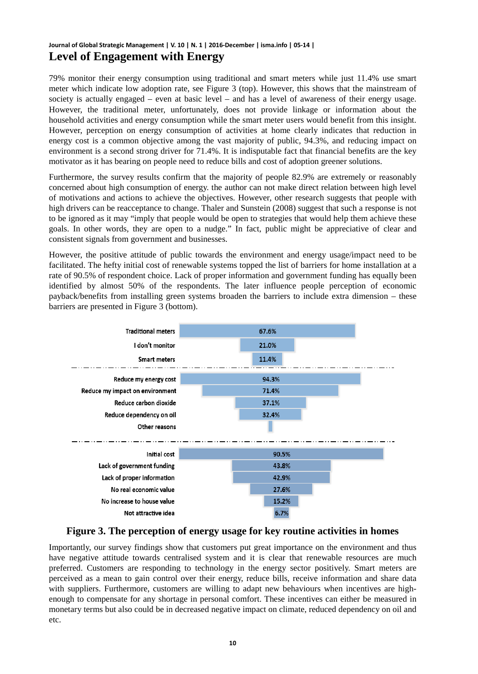#### **Journal of Global Strategic Management | V. 10 | N. 1 | 2016-December | isma.info | 05-14 | Level of Engagement with Energy**

79% monitor their energy consumption using traditional and smart meters while just 11.4% use smart meter which indicate low adoption rate, see Figure 3 (top). However, this shows that the mainstream of society is actually engaged – even at basic level – and has a level of awareness of their energy usage. However, the traditional meter, unfortunately, does not provide linkage or information about the household activities and energy consumption while the smart meter users would benefit from this insight. However, perception on energy consumption of activities at home clearly indicates that reduction in energy cost is a common objective among the vast majority of public, 94.3%, and reducing impact on environment is a second strong driver for 71.4%. It is indisputable fact that financial benefits are the key motivator as it has bearing on people need to reduce bills and cost of adoption greener solutions.

Furthermore, the survey results confirm that the majority of people 82.9% are extremely or reasonably concerned about high consumption of energy. the author can not make direct relation between high level of motivations and actions to achieve the objectives. However, other research suggests that people with high drivers can be reacceptance to change. Thaler and Sunstein (2008) suggest that such a response is not to be ignored as it may "imply that people would be open to strategies that would help them achieve these goals. In other words, they are open to a nudge." In fact, public might be appreciative of clear and consistent signals from government and businesses.

However, the positive attitude of public towards the environment and energy usage/impact need to be facilitated. The hefty initial cost of renewable systems topped the list of barriers for home installation at a rate of 90.5% of respondent choice. Lack of proper information and government funding has equally been identified by almost 50% of the respondents. The later influence people perception of economic payback/benefits from installing green systems broaden the barriers to include extra dimension – these barriers are presented in Figure 3 (bottom).



#### **Figure 3. The perception of energy usage for key routine activities in homes**

Importantly, our survey findings show that customers put great importance on the environment and thus have negative attitude towards centralised system and it is clear that renewable resources are much preferred. Customers are responding to technology in the energy sector positively. Smart meters are perceived as a mean to gain control over their energy, reduce bills, receive information and share data with suppliers. Furthermore, customers are willing to adapt new behaviours when incentives are highenough to compensate for any shortage in personal comfort. These incentives can either be measured in monetary terms but also could be in decreased negative impact on climate, reduced dependency on oil and etc.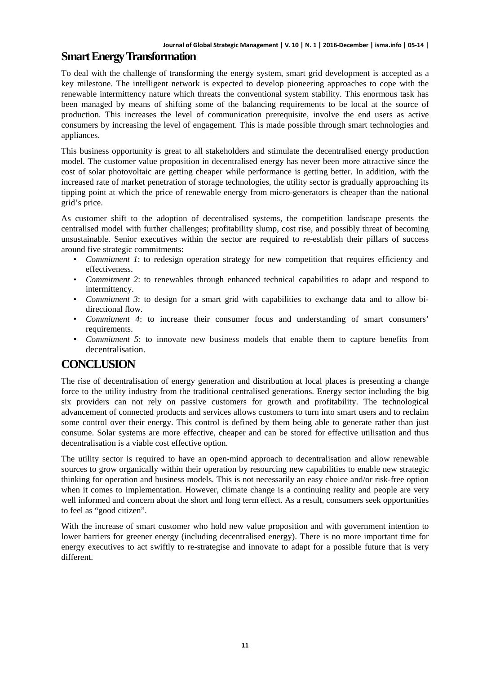#### **Smart Energy Transformation**

To deal with the challenge of transforming the energy system, smart grid development is accepted as a key milestone. The intelligent network is expected to develop pioneering approaches to cope with the renewable intermittency nature which threats the conventional system stability. This enormous task has been managed by means of shifting some of the balancing requirements to be local at the source of production. This increases the level of communication prerequisite, involve the end users as active consumers by increasing the level of engagement. This is made possible through smart technologies and appliances.

This business opportunity is great to all stakeholders and stimulate the decentralised energy production model. The customer value proposition in decentralised energy has never been more attractive since the cost of solar photovoltaic are getting cheaper while performance is getting better. In addition, with the increased rate of market penetration of storage technologies, the utility sector is gradually approaching its tipping point at which the price of renewable energy from micro-generators is cheaper than the national grid's price.

As customer shift to the adoption of decentralised systems, the competition landscape presents the centralised model with further challenges; profitability slump, cost rise, and possibly threat of becoming unsustainable. Senior executives within the sector are required to re-establish their pillars of success around five strategic commitments:

- *Commitment 1*: to redesign operation strategy for new competition that requires efficiency and effectiveness.
- *Commitment 2*: to renewables through enhanced technical capabilities to adapt and respond to intermittency.
- *Commitment 3*: to design for a smart grid with capabilities to exchange data and to allow bidirectional flow.
- *Commitment 4*: to increase their consumer focus and understanding of smart consumers' requirements.
- *Commitment 5*: to innovate new business models that enable them to capture benefits from decentralisation.

# **CONCLUSION**

The rise of decentralisation of energy generation and distribution at local places is presenting a change force to the utility industry from the traditional centralised generations. Energy sector including the big six providers can not rely on passive customers for growth and profitability. The technological advancement of connected products and services allows customers to turn into smart users and to reclaim some control over their energy. This control is defined by them being able to generate rather than just consume. Solar systems are more effective, cheaper and can be stored for effective utilisation and thus decentralisation is a viable cost effective option.

The utility sector is required to have an open-mind approach to decentralisation and allow renewable sources to grow organically within their operation by resourcing new capabilities to enable new strategic thinking for operation and business models. This is not necessarily an easy choice and/or risk-free option when it comes to implementation. However, climate change is a continuing reality and people are very well informed and concern about the short and long term effect. As a result, consumers seek opportunities to feel as "good citizen".

With the increase of smart customer who hold new value proposition and with government intention to lower barriers for greener energy (including decentralised energy). There is no more important time for energy executives to act swiftly to re-strategise and innovate to adapt for a possible future that is very different.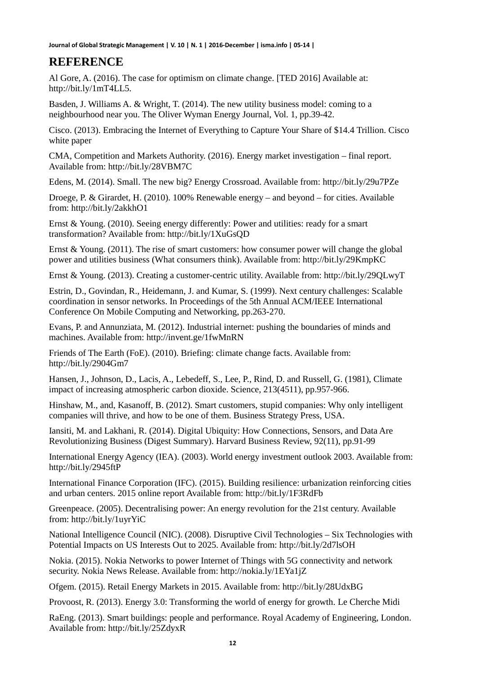# **REFERENCE**

Al Gore, A. (2016). The case for optimism on climate change. [TED 2016] Available at: http://bit.ly/1mT4LL5.

Basden, J. Williams A. & Wright, T. (2014). The new utility business model: coming to a neighbourhood near you. The Oliver Wyman Energy Journal, Vol. 1, pp.39-42.

Cisco. (2013). Embracing the Internet of Everything to Capture Your Share of \$14.4 Trillion. Cisco white paper

CMA, Competition and Markets Authority. (2016). Energy market investigation – final report. Available from: http://bit.ly/28VBM7C

Edens, M. (2014). Small. The new big? Energy Crossroad. Available from: http://bit.ly/29u7PZe

Droege, P. & Girardet, H. (2010). 100% Renewable energy – and beyond – for cities. Available from: http://bit.ly/2akkhO1

Ernst & Young. (2010). Seeing energy differently: Power and utilities: ready for a smart transformation? Available from: http://bit.ly/1XuGsQD

Ernst & Young. (2011). The rise of smart customers: how consumer power will change the global power and utilities business (What consumers think). Available from: http://bit.ly/29KmpKC

Ernst & Young. (2013). Creating a customer-centric utility. Available from: http://bit.ly/29QLwyT

Estrin, D., Govindan, R., Heidemann, J. and Kumar, S. (1999). Next century challenges: Scalable coordination in sensor networks. In Proceedings of the 5th Annual ACM/IEEE International Conference On Mobile Computing and Networking, pp.263-270.

Evans, P. and Annunziata, M. (2012). Industrial internet: pushing the boundaries of minds and machines. Available from: http://invent.ge/1fwMnRN

Friends of The Earth (FoE). (2010). Briefing: climate change facts. Available from: http://bit.ly/2904Gm7

Hansen, J., Johnson, D., Lacis, A., Lebedeff, S., Lee, P., Rind, D. and Russell, G. (1981), Climate impact of increasing atmospheric carbon dioxide. Science, 213(4511), pp.957-966.

Hinshaw, M., and, Kasanoff, B. (2012). Smart customers, stupid companies: Why only intelligent companies will thrive, and how to be one of them. Business Strategy Press, USA.

Iansiti, M. and Lakhani, R. (2014). Digital Ubiquity: How Connections, Sensors, and Data Are Revolutionizing Business (Digest Summary). Harvard Business Review, 92(11), pp.91-99

International Energy Agency (IEA). (2003). World energy investment outlook 2003. Available from: http://bit.ly/2945ftP

International Finance Corporation (IFC). (2015). Building resilience: urbanization reinforcing cities and urban centers. 2015 online report Available from: http://bit.ly/1F3RdFb

Greenpeace. (2005). Decentralising power: An energy revolution for the 21st century. Available from: http://bit.ly/1uyrYiC

National Intelligence Council (NIC). (2008). Disruptive Civil Technologies – Six Technologies with Potential Impacts on US Interests Out to 2025. Available from: http://bit.ly/2d7lsOH

Nokia. (2015). Nokia Networks to power Internet of Things with 5G connectivity and network security. Nokia News Release. Available from: http://nokia.ly/1EYa1jZ

Ofgem. (2015). Retail Energy Markets in 2015. Available from: http://bit.ly/28UdxBG

Provoost, R. (2013). Energy 3.0: Transforming the world of energy for growth. Le Cherche Midi

RaEng. (2013). Smart buildings: people and performance. Royal Academy of Engineering, London. Available from: http://bit.ly/25ZdyxR